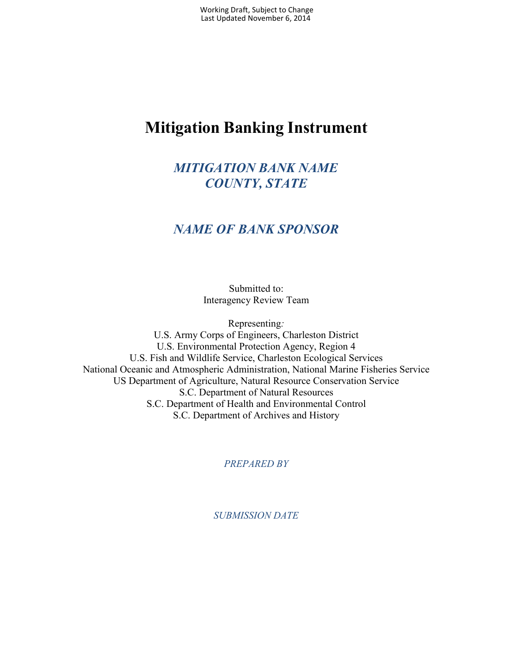# **Mitigation Banking Instrument**

## *MITIGATION BANK NAME COUNTY, STATE*

### *NAME OF BANK SPONSOR*

Submitted to: Interagency Review Team

Representing*:* U.S. Army Corps of Engineers, Charleston District U.S. Environmental Protection Agency, Region 4 U.S. Fish and Wildlife Service, Charleston Ecological Services National Oceanic and Atmospheric Administration, National Marine Fisheries Service US Department of Agriculture, Natural Resource Conservation Service S.C. Department of Natural Resources S.C. Department of Health and Environmental Control S.C. Department of Archives and History

*PREPARED BY*

*SUBMISSION DATE*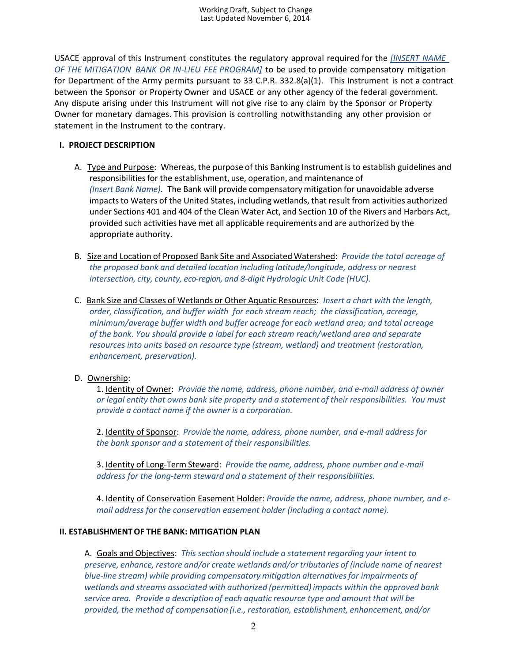USACE approval of this Instrument constitutes the regulatory approval required for the *[INSERT NAME OF THE MITIGATION BANK OR IN-LIEU FEE PROGRAM]* to be used to provide compensatory mitigation for Department of the Army permits pursuant to 33 C.P.R. 332.8(a)(1). This Instrument is not a contract between the Sponsor or Property Owner and USACE or any other agency of the federal government. Any dispute arising under this Instrument will not give rise to any claim by the Sponsor or Property Owner for monetary damages. This provision is controlling notwithstanding any other provision or statement in the Instrument to the contrary.

#### **I. PROJECT DESCRIPTION**

- A. Type and Purpose: Whereas, the purpose of this Banking Instrument is to establish guidelines and responsibilities for the establishment, use, operation, and maintenance of *(Insert Bank Name)*. The Bank will provide compensatorymitigation for unavoidable adverse impacts to Waters of the United States, including wetlands, that result from activities authorized under Sections 401 and 404 of the Clean Water Act, and Section 10 of the Rivers and Harbors Act, provided such activities have met all applicable requirements and are authorized by the appropriate authority.
- B. Size and Location of Proposed Bank Site and Associated Watershed: *Provide the total acreage of the proposed bank and detailed location including latitude/longitude, address or nearest intersection, city, county, eco-region, and 8-digit Hydrologic Unit Code (HUC).*
- C. Bank Size and Classes of Wetlands or Other Aquatic Resources: *Insert a chart with the length, order, classification, and buffer width for each stream reach; the classification, acreage, minimum/average buffer width and buffer acreage for each wetland area; and total acreage of the bank*. *You should provide a label for each stream reach/wetland area and separate resources into units based on resource type (stream, wetland) and treatment (restoration, enhancement, preservation).*

### D. Ownership:

1. Identity of Owner: *Provide the name, address, phone number, and e-mail address of owner or legal entity that owns bank site property and a statement of their responsibilities. You must provide a contact name if the owner is a corporation.*

2. Identity of Sponsor: *Provide the name, address, phone number, and e-mail address for the bank sponsor and a statement of their responsibilities.*

3. Identity of Long-Term Steward: *Provide the name, address, phone number and e-mail address for the long-term steward and a statement of their responsibilities.*

4. Identity of Conservation Easement Holder: *Provide the name, address, phone number, and email address for the conservation easement holder (including a contact name).*

#### **II. ESTABLISHMENTOF THE BANK: MITIGATION PLAN**

A. Goals and Objectives: *This section should include a statement regarding your intent to preserve, enhance, restore and/or create wetlands and/or tributaries of (include name of nearest blue-line stream) while providing compensatory mitigation alternativesfor impairments of wetlands and streams associated with authorized (permitted) impacts within the approved bank service area. Provide a description of each aquatic resource type and amount that will be provided, the method of compensation (i.e., restoration, establishment, enhancement, and/or*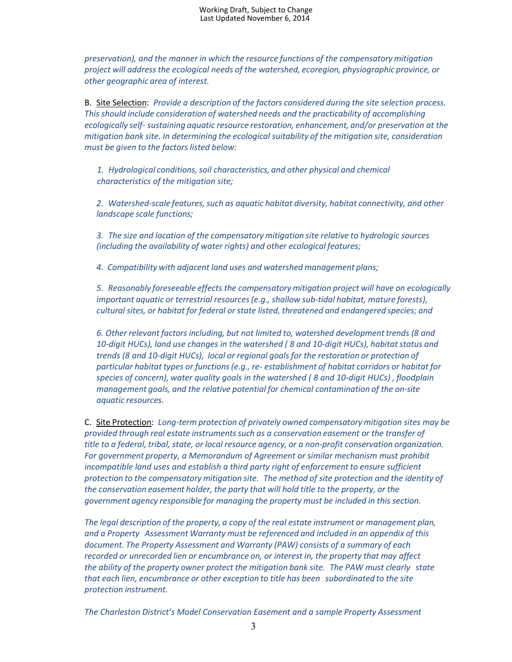*preservation), and the manner in which the resource functions of the compensatory mitigation project will addressthe ecological needs of the watershed, ecoregion, physiographic province, or other geographic area of interest.*

B. Site Selection: *Provide a description of the factors considered during the site selection process. This should include consideration of watershed needs and the practicability of accomplishing ecologically self- sustaining aquatic resource restoration, enhancement, and/or preservation at the mitigation bank site. In determining the ecological suitability of the mitigation site, consideration must be given to the factors listed below:*

1. Hydrological conditions, soil characteristics, and other physical and chemical  *characteristics of the mitigation site;*

*2. Watershed-scale features,such as aquatic habitat diversity, habitat connectivity, and other landscape scale functions;*

*3. The size and location of the compensatorymitigation site relative to hydrologic sources (including the availability of water rights) and other ecological features;*

*4. Compatibility with adjacent land uses and watershed management plans;*

*5. Reasonably foreseeable effects the compensatory mitigation project will have on ecologically important aquatic or terrestrial resources(e.g., shallow sub-tidal habitat, mature forests), culturalsites, or habitat for federal or state listed, threatened and endangered species; and*

*6. Other relevant factors including, but not limited to, watershed developmenttrends (8 and 10-digit HUCs), land use changes in the watershed (8 and 10-digit HUCs), habitat status and trends (8 and 10-digit HUCs), local or regional goals for the restoration or protection of particular habitat types or functions(e.g., re- establishment of habitat corridors or habitat for species of concern), water quality goals in the watershed ( 8 and 10-digit HUCs) , floodplain management goals, and the relative potential for chemical contamination of the on-site aquatic resources.*

C. Site Protection: *Long-term protection of privately owned compensatory mitigation sites may be provided through real estate instrumentssuch as a conservation easement or the transfer of title to a federal, tribal, state, or local resource agency, or a non-profit conservation organization. For government property, a Memorandum of Agreement or similar mechanism must prohibit incompatible land uses and establish a third party right of enforcementto ensure sufficient protection to the compensatory mitigation site. The method of site protection and the identity of the conservation easement holder, the party that will hold title to the property, or the government agency responsible for managing the property must be included in this section.*

*The legal description of the property, a copy of the real estate instrument or management plan, and a Property Assessment Warranty must be referenced and included in an appendix of this document. The Property Assessment and Warranty (PAW) consists of a summary of each recorded or unrecorded lien or encumbrance on, or interest in, the property that may affect the ability of the property owner protect the mitigation bank site. The PAW must clearly state that each lien, encumbrance or other exception to title has been subordinated to the site protection instrument.*

*The Charleston District's Model Conservation Easement and a sample Property Assessment*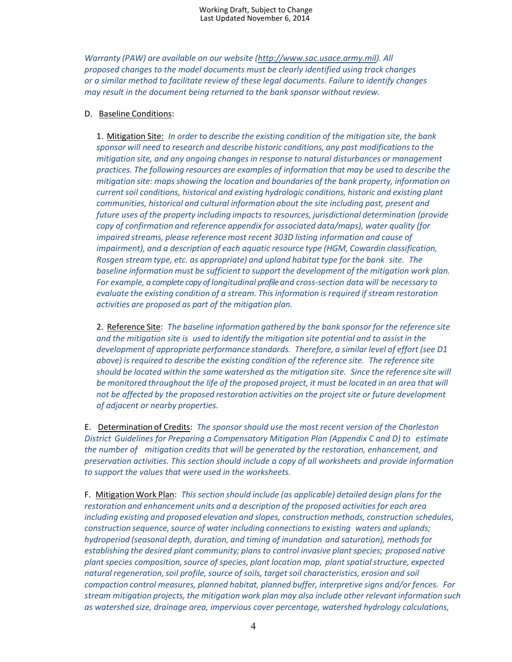*Warranty (PAW) are available on our website (http://www.sac.usace.army.mil). All proposed changes to the model documents must be clearly identified using track changes or a similar method to facilitate review of these legal documents. Failure to identify changes may result in the document being returned to the bank sponsor without review.* 

#### D. Baseline Conditions:

1. Mitigation Site: *In order to describe the existing condition of the mitigation site, the bank sponsor will need to research and describe historic conditions, any past modificationsto the mitigation site, and any ongoing changes in response to natural disturbances or management practices. The following resources are examples of information that may be used to describe the mitigation site: maps showing the location and boundaries of the bank property, information on currentsoil conditions, historical and existing hydrologic conditions, historic and existing plant communities, historical and cultural information about the site including past, present and future uses of the property including impacts to resources, jurisdictional determination (provide copy of confirmation and reference appendix for associated data/maps), water quality (for impaired streams, please reference most recent 303D listing information and cause of impairment), and a description of each aquatic resource type (HGM, Cowardin classification, Rosgen stream type, etc. as appropriate) and upland habitat type for the bank site. The baseline information must be sufficient to support the development of the mitigation work plan. For example, a complete copy of longitudinal profile and cross-section data will be necessary to evaluate the existing condition of a stream. This information is required if stream restoration activities are proposed as part of the mitigation plan.*

2. Reference Site: *The baseline information gathered by the bank sponsor for the reference site and the mitigation site is used to identify the mitigation site potential and to assist in the development of appropriate performance standards. Therefore, a similar level of effort (see D1 above) is required to describe the existing condition of the reference site. The reference site should be located within the same watershed as the mitigation site. Since the reference site will be monitored throughout the life of the proposed project, it must be located in an area that will not be affected by the proposed restoration activities on the projectsite or future development of adjacent or nearby properties.*

E. Determination of Credits: *The sponsor should use the most recent version of the Charleston District Guidelines for Preparing a Compensatory Mitigation Plan (Appendix C and D) to estimate the number of mitigation credits that will be generated by the restoration, enhancement, and preservation activities. This section should include a copy of all worksheets and provide information to support the values that were used in the worksheets.*

F. Mitigation Work Plan: *This section should include (as applicable) detailed design plans for the restoration and enhancement units and a description of the proposed activitiesfor each area including existing and proposed elevation and slopes, construction methods, construction schedules, construction sequence,source of water including connectionsto existing waters and uplands; hydroperiod (seasonal depth, duration, and timing of inundation and saturation), methods for establishing the desired plant community; plans to control invasive plant species; proposed native plant species composition,source of species, plant location map, plant spatialstructure, expected natural regeneration,soil profile, source of soils, targetsoil characteristics, erosion and soil compaction control measures, planned habitat, planned buffer, interpretive signs and/or fences. For stream mitigation projects, the mitigation work plan may also include other relevant information such as watershed size, drainage area, impervious cover percentage, watershed hydrology calculations,*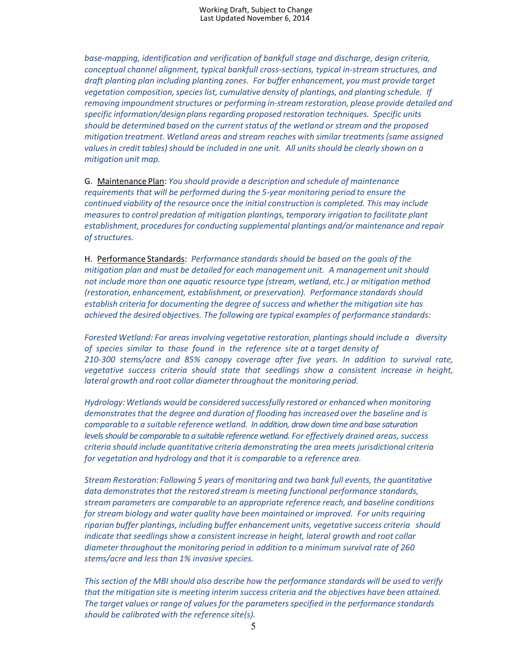*base-mapping, identification and verification of bankfull stage and discharge, design criteria, conceptual channel alignment, typical bankfull cross-sections, typical in-stream structures, and draft planting plan including planting zones. For buffer enhancement, you must provide target vegetation composition,species list, cumulative density of plantings, and planting schedule. If removing impoundmentstructures or performing in-stream restoration, please provide detailed and specific information/design plans regarding proposed restoration techniques. Specific units should be determined based on the currentstatus of the wetland or stream and the proposed mitigation treatment. Wetland areas and stream reaches with similar treatments(same assigned values in credit tables)should be included in one unit. All units should be clearly shown on a mitigation unit map.*

G. Maintenance Plan: *You should provide a description and schedule of maintenance requirements that will be performed during the 5-year monitoring period to ensure the continued viability of the resource once the initial construction is completed. This may include measuresto control predation of mitigation plantings, temporary irrigation to facilitate plant establishment, proceduresfor conducting supplemental plantings and/or maintenance and repair of structures.*

H. Performance Standards: *Performance standards should be based on the goals of the mitigation plan and must be detailed for each management unit. A management unit should not include more than one aquatic resource type (stream, wetland, etc.) or mitigation method (restoration, enhancement, establishment, or preservation). Performance standardsshould establish criteria for documenting the degree of success and whether the mitigation site has achieved the desired objectives. The following are typical examples of performance standards:*

*Forested Wetland: For areas involving vegetative restoration, plantings should include a diversity of species similar to those found in the reference site at a target density of 210-300 stems/acre and 85% canopy coverage after five years. In addition to survival rate, vegetative success criteria should state that seedlings show a consistent increase in height, lateral growth and root collar diameter throughout the monitoring period.*

*Hydrology: Wetlands would be considered successfully restored or enhanced when monitoring demonstratesthat the degree and duration of flooding has increased over the baseline and is comparable to a suitable reference wetland. In addition, draw down time and base saturation levels should be comparable to a suitable reference wetland. For effectively drained areas, success criteria should include quantitative criteria demonstrating the area meets jurisdictional criteria for vegetation and hydrology and that it is comparable to a reference area.*

*Stream Restoration: Following 5 years of monitoring and two bank full events, the quantitative data demonstratesthat the restored stream is meeting functional performance standards, stream parameters are comparable to an appropriate reference reach, and baseline conditions for stream biology and water quality have been maintained or improved. For units requiring riparian buffer plantings, including buffer enhancement units, vegetative success criteria should indicate that seedlingsshow a consistent increase in height, lateral growth and root collar diameter throughout the monitoring period in addition to a minimum survival rate of 260 stems/acre and less than 1% invasive species.*

*This section of the MBI should also describe how the performance standards will be used to verify that the mitigation site is meeting interim success criteria and the objectives have been attained. The target values or range of values for the parametersspecified in the performance standards should be calibrated with the reference site(s).*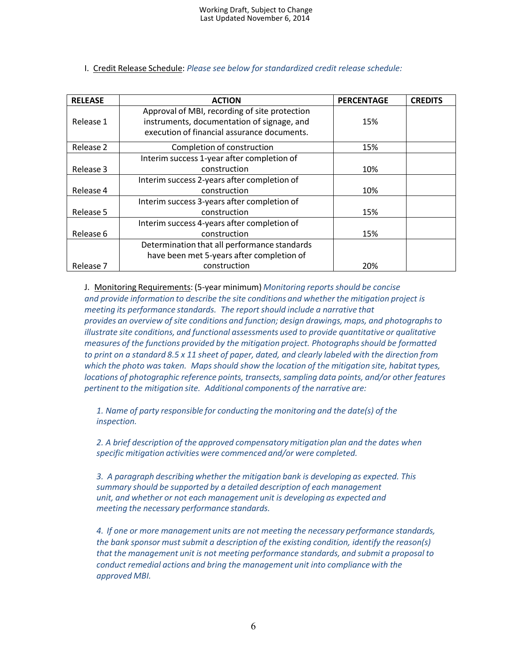| <b>RELEASE</b> | <b>ACTION</b>                                                                                                                              | <b>PERCENTAGE</b> | <b>CREDITS</b> |
|----------------|--------------------------------------------------------------------------------------------------------------------------------------------|-------------------|----------------|
| Release 1      | Approval of MBI, recording of site protection<br>instruments, documentation of signage, and<br>execution of financial assurance documents. | 15%               |                |
| Release 2      | Completion of construction                                                                                                                 | 15%               |                |
| Release 3      | Interim success 1-year after completion of<br>construction                                                                                 | 10%               |                |
| Release 4      | Interim success 2-years after completion of<br>construction                                                                                | 10%               |                |
| Release 5      | Interim success 3-years after completion of<br>construction                                                                                | 15%               |                |
| Release 6      | Interim success 4-years after completion of<br>construction                                                                                | 15%               |                |
| Release 7      | Determination that all performance standards<br>have been met 5-years after completion of<br>construction                                  | 20%               |                |
|                |                                                                                                                                            |                   |                |

#### I. Credit Release Schedule: *Please see below for standardized credit release schedule:*

J. Monitoring Requirements: (5-year minimum) *Monitoring reportsshould be concise and provide information to describe the site conditions and whether the mitigation project is meeting its performance standards. The report should include a narrative that provides an overview of site conditions and function; design drawings, maps, and photographsto illustrate site conditions, and functional assessments used to provide quantitative or qualitative measures of the functions provided by the mitigation project. Photographsshould be formatted to print on a standard 8.5 x 11 sheet of paper, dated, and clearly labeled with the direction from which the photo was taken. Maps should show the location of the mitigation site, habitat types, locations of photographic reference points, transects,sampling data points, and/or other features pertinent to the mitigation site. Additional components of the narrative are:*

*1. Name of party responsible for conducting the monitoring and the date(s) of the inspection.*

*2. A brief description of the approved compensatory mitigation plan and the dates when specific mitigation activities were commenced and/or were completed.*

*3. A paragraph describing whether the mitigation bank is developing as expected. This summary should be supported by a detailed description of each management unit, and whether or not each management unit is developing as expected and meeting the necessary performance standards.*

*4. If one or more management units are not meeting the necessary performance standards, the bank sponsor must submit a description of the existing condition, identify the reason(s) that the management unit is not meeting performance standards, and submit a proposal to conduct remedial actions and bring the management unit into compliance with the approved MBI.*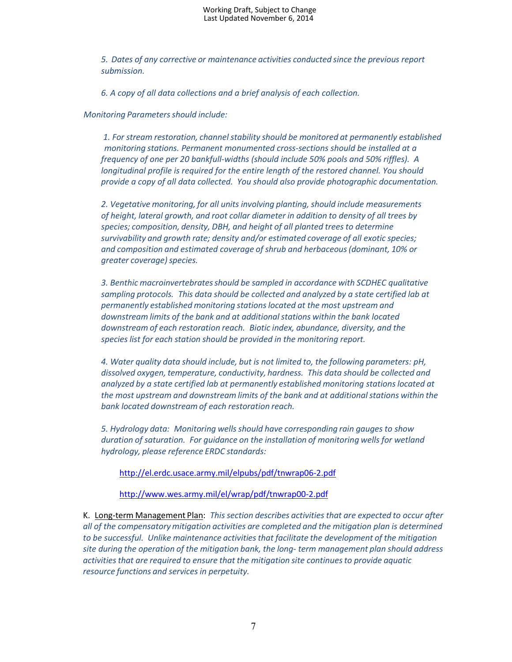*5. Dates of any corrective or maintenance activities conducted since the previous report submission.*

*6. A copy of all data collections and a brief analysis of each collection.*

#### *Monitoring Parametersshould include:*

*1. For stream restoration, channelstability should be monitored at permanently established monitoring stations. Permanent monumented cross-sections should be installed at a frequency of one per 20 bankfull-widths (should include 50% pools and 50% riffles). A longitudinal profile is required for the entire length of the restored channel. You should provide a copy of all data collected. You should also provide photographic documentation.*

*2. Vegetative monitoring, for all units involving planting, should include measurements of height, lateral growth, and root collar diameter in addition to density of all trees by species; composition, density, DBH, and height of all planted trees to determine survivability and growth rate; density and/or estimated coverage of all exotic species; and composition and estimated coverage of shrub and herbaceous(dominant, 10% or greater coverage)species.* 

*3. Benthic macroinvertebratesshould be sampled in accordance with SCDHEC qualitative sampling protocols. This data should be collected and analyzed by a state certified lab at permanently established monitoring stationslocated at the most upstream and downstream limits of the bank and at additionalstations within the bank located downstream of each restoration reach. Biotic index, abundance, diversity, and the species list for each station should be provided in the monitoring report.*

*4. Water quality data should include, but is not limited to, the following parameters: pH, dissolved oxygen, temperature, conductivity, hardness. This data should be collected and analyzed by a state certified lab at permanently established monitoring stationslocated at the most upstream and downstream limits of the bank and at additionalstations within the bank located downstreamof each restoration reach.*

*5. Hydrology data: Monitoring wells should have corresponding rain gauges to show duration of saturation. For guidance on the installation of monitoring wells for wetland hydrology, please reference ERDC standards:*

<http://el.erdc.usace.army.mil/elpubs/pdf/tnwrap06-2.pdf>

<http://www.wes.army.mil/el/wrap/pdf/tnwrap00-2.pdf>

K. Long-term Management Plan: *This section describes activitiesthat are expected to occur after all of the compensatorymitigation activities are completed and the mitigation plan is determined to be successful. Unlike maintenance activitiesthat facilitate the development of the mitigation site during the operation of the mitigation bank, the long- term management plan should address activitiesthat are required to ensure that the mitigation site continuesto provide aquatic resource functions and services in perpetuity.*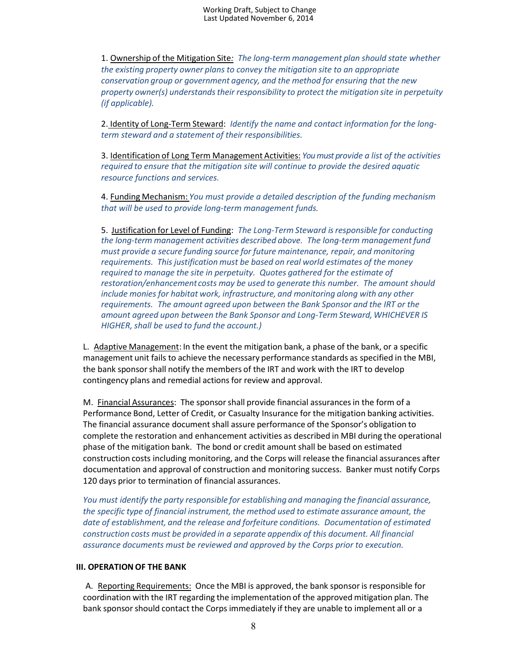1. Ownership of the Mitigation Site*: The long-term management plan should state whether the existing property owner plans to convey the mitigation site to an appropriate conservation group or government agency, and the method for ensuring that the new property owner(s) understandstheir responsibility to protect the mitigation site in perpetuity (if applicable).*

2. Identity of Long-Term Steward: *Identify the name and contact information for the longterm steward and a statement of their responsibilities.*

3. Identification of Long Term Management Activities: *You must provide a list of the activities required to ensure that the mitigation site will continue to provide the desired aquatic resource functions and services.*

4. Funding Mechanism: *You must provide a detailed description of the funding mechanism that will be used to provide long-term management funds.*

5. Justification for Level of Funding: *The Long-Term Steward isresponsible for conducting the long-term management activities described above. The long-term management fund must provide a secure funding source for future maintenance, repair, and monitoring requirements. This justification must be based on real world estimates of the money required to manage the site in perpetuity. Quotes gathered for the estimate of restoration/enhancement costs may be used to generate this number. The amount should include monies for habitat work, infrastructure, and monitoring along with any other requirements. The amount agreed upon between the Bank Sponsor and the IRT or the amount agreed upon between the Bank Sponsor and Long-Term Steward, WHICHEVER IS HIGHER,shall be used to fund the account.)*

L. Adaptive Management: In the event the mitigation bank, a phase of the bank, or a specific management unit fails to achieve the necessary performance standards as specified in the MBI, the bank sponsorshall notify the members of the IRT and work with the IRT to develop contingency plans and remedial actions for review and approval.

M. Financial Assurances: The sponsorshall provide financial assurancesin the form of a Performance Bond, Letter of Credit, or Casualty Insurance for the mitigation banking activities. The financial assurance document shall assure performance of the Sponsor's obligation to complete the restoration and enhancement activities as described in MBI during the operational phase of the mitigation bank. The bond or credit amount shall be based on estimated construction costs including monitoring, and the Corps will release the financial assurances after documentation and approval of construction and monitoring success. Banker must notify Corps 120 days prior to termination of financial assurances.

*You must identify the party responsible for establishing and managing the financial assurance, the specific type of financial instrument, the method used to estimate assurance amount, the date of establishment, and the release and forfeiture conditions. Documentation of estimated construction costs must be provided in a separate appendix of this document. All financial assurance documents must be reviewed and approved by the Corps prior to execution.*

#### **III. OPERATION OF THE BANK**

A. Reporting Requirements: Once the MBI is approved, the bank sponsor is responsible for coordination with the IRT regarding the implementation of the approved mitigation plan. The bank sponsor should contact the Corps immediately if they are unable to implement all or a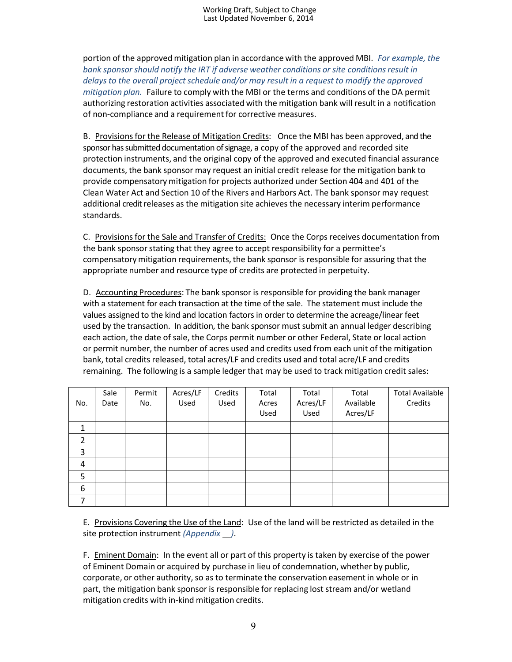portion of the approved mitigation plan in accordance with the approved MBI. *For example, the bank sponsor should notify the IRT if adverse weather conditions or site conditionsresult in delays to the overall projectschedule and/or may result in a request to modify the approved mitigation plan.* Failure to comply with the MBI or the terms and conditions of the DA permit authorizing restoration activities associated with the mitigation bank will result in a notification of non-compliance and a requirement for corrective measures.

B. Provisionsfor the Release of Mitigation Credits: Once the MBI has been approved, and the sponsor has submitted documentation of signage, a copy of the approved and recorded site protection instruments, and the original copy of the approved and executed financial assurance documents, the bank sponsor may request an initial credit release for the mitigation bank to provide compensatory mitigation for projects authorized under Section 404 and 401 of the Clean Water Act and Section 10 of the Rivers and Harbors Act. The bank sponsor may request additional credit releases as the mitigation site achieves the necessary interim performance standards.

C. Provisions for the Sale and Transfer of Credits: Once the Corps receives documentation from the bank sponsor stating that they agree to accept responsibility for a permittee's compensatory mitigation requirements, the bank sponsor is responsible for assuring that the appropriate number and resource type of credits are protected in perpetuity.

D. Accounting Procedures: The bank sponsor is responsible for providing the bank manager with a statement for each transaction at the time of the sale. The statement must include the values assigned to the kind and location factors in order to determine the acreage/linear feet used by the transaction. In addition, the bank sponsor must submit an annual ledger describing each action, the date of sale, the Corps permit number or other Federal, State or local action or permit number, the number of acres used and credits used from each unit of the mitigation bank, total credits released, total acres/LF and credits used and total acre/LF and credits remaining. The following is a sample ledger that may be used to track mitigation credit sales:

| No.            | Sale<br>Date | Permit<br>No. | Acres/LF<br>Used | Credits<br>Used | Total<br>Acres<br>Used | Total<br>Acres/LF<br>Used | Total<br>Available<br>Acres/LF | <b>Total Available</b><br>Credits |
|----------------|--------------|---------------|------------------|-----------------|------------------------|---------------------------|--------------------------------|-----------------------------------|
| 1              |              |               |                  |                 |                        |                           |                                |                                   |
| $\overline{2}$ |              |               |                  |                 |                        |                           |                                |                                   |
| 3              |              |               |                  |                 |                        |                           |                                |                                   |
| $\overline{4}$ |              |               |                  |                 |                        |                           |                                |                                   |
| 5              |              |               |                  |                 |                        |                           |                                |                                   |
| 6              |              |               |                  |                 |                        |                           |                                |                                   |
| 7              |              |               |                  |                 |                        |                           |                                |                                   |

E. Provisions Covering the Use of the Land: Use of the land will be restricted as detailed in the site protection instrument *(Appendix )*.

F. Eminent Domain: In the event all or part of this property is taken by exercise of the power of Eminent Domain or acquired by purchase in lieu of condemnation, whether by public, corporate, or other authority, so as to terminate the conservation easement in whole or in part, the mitigation bank sponsor is responsible for replacing lost stream and/or wetland mitigation credits with in-kind mitigation credits.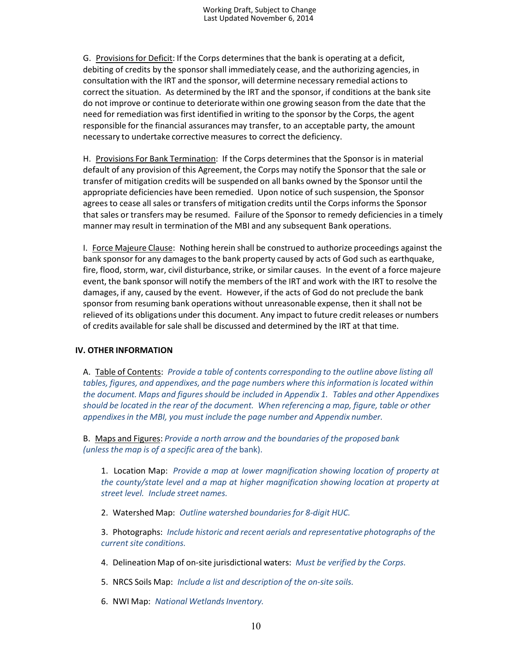G. Provisionsfor Deficit: If the Corps determinesthat the bank is operating at a deficit, debiting of credits by the sponsorshall immediately cease, and the authorizing agencies, in consultation with the IRT and the sponsor, will determine necessary remedial actionsto correct the situation. As determined by the IRT and the sponsor, if conditions at the bank site do not improve or continue to deteriorate within one growing season from the date that the need for remediation was first identified in writing to the sponsor by the Corps, the agent responsible for the financial assurances may transfer, to an acceptable party, the amount necessary to undertake corrective measures to correct the deficiency.

H. Provisions For Bank Termination: If the Corps determinesthat the Sponsor is in material default of any provision of this Agreement, the Corps may notify the Sponsor that the sale or transfer of mitigation credits will be suspended on all banks owned by the Sponsor until the appropriate deficiencies have been remedied. Upon notice of such suspension, the Sponsor agrees to cease all sales or transfers of mitigation credits until the Corps informsthe Sponsor that sales or transfers may be resumed. Failure of the Sponsor to remedy deficienciesin a timely manner may result in termination of the MBI and any subsequent Bank operations.

I. Force Majeure Clause: Nothing herein shall be construed to authorize proceedings against the bank sponsor for any damagesto the bank property caused by acts of God such as earthquake, fire, flood, storm, war, civil disturbance, strike, or similar causes. In the event of a force majeure event, the bank sponsor will notify the members of the IRT and work with the IRT to resolve the damages, if any, caused by the event. However, if the acts of God do not preclude the bank sponsor from resuming bank operations without unreasonable expense, then it shall not be relieved of its obligations under this document. Any impact to future credit releases or numbers of credits available for sale shall be discussed and determined by the IRT at that time.

#### **IV. OTHER INFORMATION**

A. Table of Contents: *Provide a table of contents corresponding to the outline above listing all tables, figures, and appendixes, and the page numbers where this information is located within the document. Maps and figuresshould be included in Appendix 1. Tables and other Appendixes should be located in the rear of the document. When referencing a map, figure, table or other appendixesin the MBI, you must include the page number and Appendix number.*

B. Maps and Figures: *Provide a north arrow and the boundaries of the proposed bank (unless the map is of a specific area of the* bank).

1. Location Map: *Provide a map at lower magnification showing location of property at the county/state level and a map at higher magnification showing location at property at street level. Include street names.*

2. Watershed Map: *Outline watershed boundariesfor 8-digit HUC.*

3. Photographs: *Include historic and recent aerials and representative photographs of the currentsite conditions.*

- 4. Delineation Map of on-site jurisdictional waters: *Must be verified by the Corps.*
- 5. NRCS Soils Map: *Include a list and description of the on-site soils.*
- 6. NWI Map: *National WetlandsInventory.*